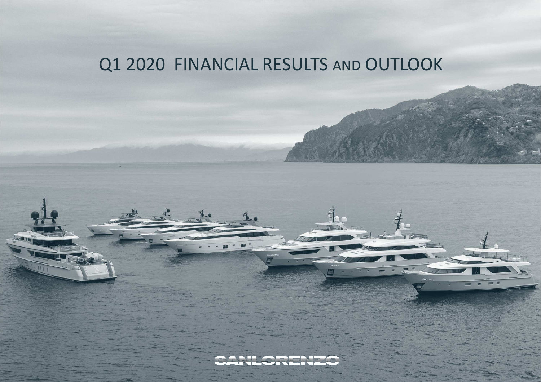# Q1 2020 FINANCIAL RESULTS AND OUTLOOK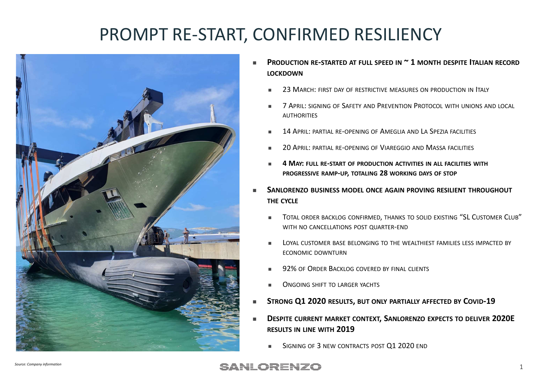## PROMPT RE-START, CONFIRMED RESILIENCY



- ${\sf PRODUCTION}$  re-started at full speed in  $\verb|~1$  month despite Italian record **LOCKDOWN**
	- П **23 March: First day of restrictive measures on production in Italy**
	- m.  $\blacksquare$  - 7 April: signing of Safety and Prevention Protocol with unions and local **AUTHORITIES**
	- ш 14 APRIL: PARTIAL RE-OPENING OF <sup>A</sup>MEGLIA AND <sup>L</sup><sup>A</sup> <sup>S</sup>PEZIA FACILITIES
	- $\blacksquare$  $\blacksquare$  20 April: partial re-opening of Viareggio and Massa facilities
	- ш **4 MAY: FULL RE-START OF PRODUCTION ACTIVITIES IN ALL FACILITIES WITHPROGRESSIVE RAMP-UP, TOTALING <sup>28</sup>WORKING DAYS OF STOP**
- **<sup>S</sup>ANLORENZO BUSINESS MODEL ONCE AGAIN PROVING RESILIENT THROUGHOUT THE CYCLE**
	- $\blacksquare$ ■ Total order backlog confirmed, thanks to solid existing "SL Customer Club" WITH NO CANCELLATIONS POST QUARTER-END
	- ш <sup>L</sup>OYAL CUSTOMER BASE BELONGING TO THE WEALTHIEST FAMILIES LESS IMPACTED BY ECONOMIC DOWNTURN
	- ш ■ 92% of Order Backlog covered by final clients
	- $\blacksquare$ <sup>O</sup>NGOING SHIFT TO LARGER YACHTS
- **STRONG Q1 2020 RESULTS, BUT ONLY PARTIALLY AFFECTED BY COVID-19**
- **<sup>D</sup>ESPITE CURRENT MARKET CONTEXT, SANLORENZO EXPECTS TO DELIVER 2020E RESULTS IN LINE WITH <sup>2019</sup>**
	- $\blacksquare$ SIGNING OF 3 NEW CONTRACTS POST Q1 2020 END

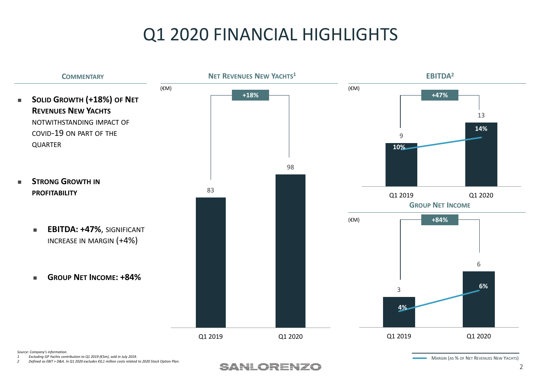# Q1 2020 FINANCIAL HIGHLIGHTS



*<sup>1</sup> Excluding GP Yachts contribution to Q1 2019 (€5m), sold in July 2019.*

*<sup>2</sup> Defined as EBIT + D&A. In Q1 2020 excludes €0,1 million costs related to 2020 Stock Option Plan.*



MARGIN (AS % OF <sup>N</sup>ET <sup>R</sup>EVENUES <sup>N</sup>EW <sup>Y</sup>ACHTS)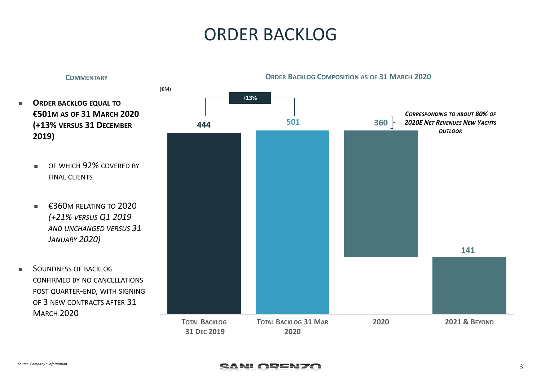#### ORDER BACKLOG

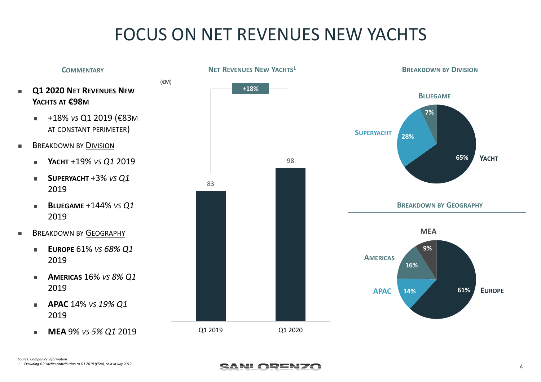# FOCUS ON NET REVENUES NEW YACHTS



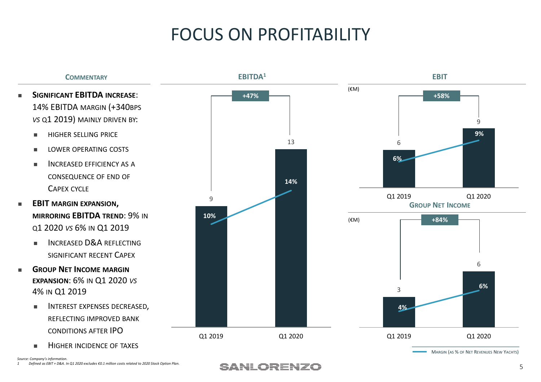# FOCUS ON PROFITABILITY



*Source: Company's information.<sup>1</sup> Defined as EBIT + D&A. In Q1 2020 excludes €0.1 million costs related to 2020 Stock Option Plan.*

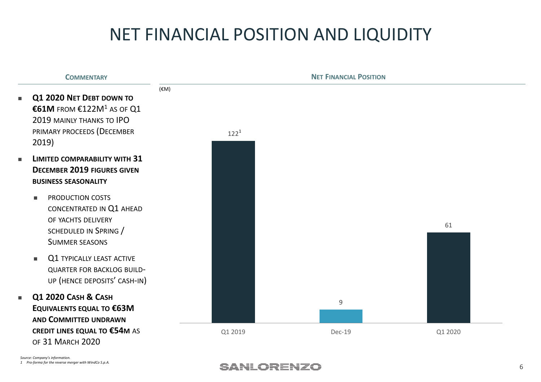# NET FINANCIAL POSITION AND LIQUIDITY

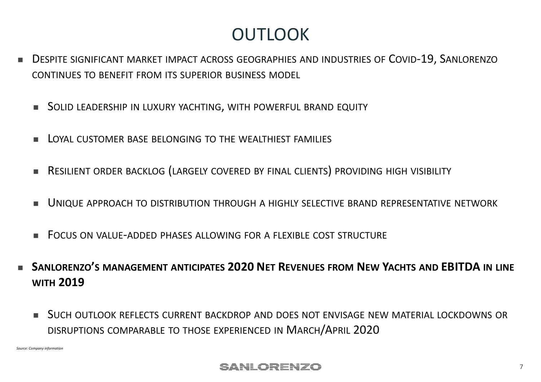### **OUTLOOK**

- ш <sup>D</sup>ESPITE SIGNIFICANT MARKET IMPACT ACROSS GEOGRAPHIES AND INDUSTRIES OF <sup>C</sup>OVID-19, SANLORENZOCONTINUES TO BENEFIT FROM ITS SUPERIOR BUSINESS MODEL
	- <sup>S</sup>OLID LEADERSHIP IN LUXURY YACHTING, WITH POWERFUL BRAND EQUITY
	- П LOYAL CUSTOMER BASE BELONGING TO THE WEALTHIEST FAMILIES
	- ш <sup>R</sup>ESILIENT ORDER BACKLOG (LARGELY COVERED BY FINAL CLIENTS) PROVIDING HIGH VISIBILITY
	- П <sup>U</sup>NIQUE APPROACH TO DISTRIBUTION THROUGH <sup>A</sup> HIGHLY SELECTIVE BRAND REPRESENTATIVE NETWORK
	- ш <sup>F</sup>OCUS ON VALUE-ADDED PHASES ALLOWING FOR <sup>A</sup> FLEXIBLE COST STRUCTURE
- L **<sup>S</sup>ANLORENZO'<sup>S</sup> MANAGEMENT ANTICIPATES 2020 NET <sup>R</sup>EVENUES FROM <sup>N</sup>EW <sup>Y</sup>ACHTS AND EBITDA IN LINE WITH <sup>2019</sup>**
	- ш <sup>S</sup>UCH OUTLOOK REFLECTS CURRENT BACKDROP AND DOES NOT ENVISAGE NEW MATERIAL LOCKDOWNS OR DISRUPTIONS COMPARABLE TO THOSE EXPERIENCED IN <sup>M</sup>ARCH/APRIL <sup>2020</sup>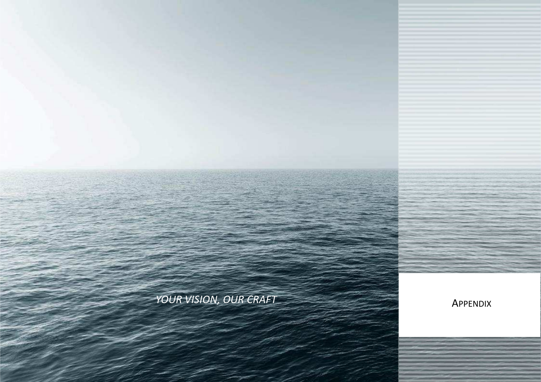

*YOUR VISION, OUR CRAFT* APPENDI

IN LINE WITH

ITS LOYAL CUSTOMERS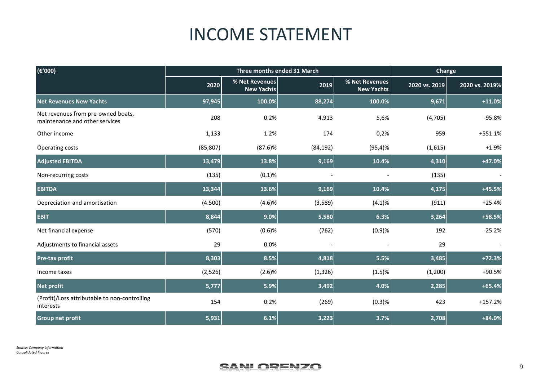#### INCOME STATEMENT

| (€'000)                                                              | Three months ended 31 March |                                     |           | Change                              |               |                |
|----------------------------------------------------------------------|-----------------------------|-------------------------------------|-----------|-------------------------------------|---------------|----------------|
|                                                                      | 2020                        | % Net Revenues<br><b>New Yachts</b> | 2019      | % Net Revenues<br><b>New Yachts</b> | 2020 vs. 2019 | 2020 vs. 2019% |
| <b>Net Revenues New Yachts</b>                                       | 97,945                      | 100.0%                              | 88,274    | 100.0%                              | 9,671         | $+11.0%$       |
| Net revenues from pre-owned boats,<br>maintenance and other services | 208                         | 0.2%                                | 4,913     | 5,6%                                | (4,705)       | $-95.8%$       |
| Other income                                                         | 1,133                       | 1.2%                                | 174       | 0,2%                                | 959           | +551.1%        |
| Operating costs                                                      | (85, 807)                   | $(87.6)$ %                          | (84, 192) | $(95, 4)$ %                         | (1,615)       | $+1.9%$        |
| <b>Adjusted EBITDA</b>                                               | 13,479                      | 13.8%                               | 9,169     | 10.4%                               | 4,310         | +47.0%         |
| Non-recurring costs                                                  | (135)                       | (0.1)%                              |           |                                     | (135)         |                |
| <b>EBITDA</b>                                                        | 13,344                      | 13.6%                               | 9,169     | 10.4%                               | 4,175         | $+45.5%$       |
| Depreciation and amortisation                                        | (4.500)                     | (4.6)%                              | (3,589)   | (4.1)%                              | (911)         | $+25.4%$       |
| <b>EBIT</b>                                                          | 8,844                       | 9.0%                                | 5,580     | 6.3%                                | 3,264         | +58.5%         |
| Net financial expense                                                | (570)                       | (0.6)%                              | (762)     | (0.9)%                              | 192           | $-25.2%$       |
| Adjustments to financial assets                                      | 29                          | 0.0%                                |           |                                     | 29            |                |
| <b>Pre-tax profit</b>                                                | 8,303                       | 8.5%                                | 4,818     | 5.5%                                | 3,485         | $+72.3%$       |
| Income taxes                                                         | (2,526)                     | (2.6)%                              | (1, 326)  | (1.5)%                              | (1,200)       | +90.5%         |
| <b>Net profit</b>                                                    | 5,777                       | 5.9%                                | 3,492     | 4.0%                                | 2,285         | $+65.4%$       |
| (Profit)/Loss attributable to non-controlling<br>interests           | 154                         | 0.2%                                | (269)     | (0.3)%                              | 423           | $+157.2%$      |
| <b>Group net profit</b>                                              | 5,931                       | 6.1%                                | 3,223     | 3.7%                                | 2,708         | +84.0%         |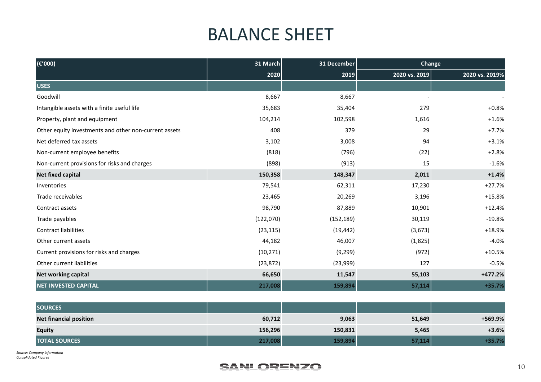#### BALANCE SHEET

| $(\epsilon'000)$                                      | 31 March  | 31 December | <b>Change</b> |                |
|-------------------------------------------------------|-----------|-------------|---------------|----------------|
|                                                       | 2020      | 2019        | 2020 vs. 2019 | 2020 vs. 2019% |
| <b>USES</b>                                           |           |             |               |                |
| Goodwill                                              | 8,667     | 8,667       |               |                |
| Intangible assets with a finite useful life           | 35,683    | 35,404      | 279           | $+0.8%$        |
| Property, plant and equipment                         | 104,214   | 102,598     | 1,616         | $+1.6%$        |
| Other equity investments and other non-current assets | 408       | 379         | 29            | $+7.7%$        |
| Net deferred tax assets                               | 3,102     | 3,008       | 94            | $+3.1%$        |
| Non-current employee benefits                         | (818)     | (796)       | (22)          | $+2.8%$        |
| Non-current provisions for risks and charges          | (898)     | (913)       | 15            | $-1.6%$        |
| <b>Net fixed capital</b>                              | 150,358   | 148,347     | 2,011         | $+1.4%$        |
| Inventories                                           | 79,541    | 62,311      | 17,230        | $+27.7%$       |
| Trade receivables                                     | 23,465    | 20,269      | 3,196         | $+15.8%$       |
| Contract assets                                       | 98,790    | 87,889      | 10,901        | $+12.4%$       |
| Trade payables                                        | (122,070) | (152, 189)  | 30,119        | $-19.8%$       |
| <b>Contract liabilities</b>                           | (23, 115) | (19, 442)   | (3,673)       | $+18.9%$       |
| Other current assets                                  | 44,182    | 46,007      | (1,825)       | $-4.0%$        |
| Current provisions for risks and charges              | (10, 271) | (9, 299)    | (972)         | $+10.5%$       |
| Other current liabilities                             | (23, 872) | (23,999)    | 127           | $-0.5%$        |
| <b>Net working capital</b>                            | 66,650    | 11,547      | 55,103        | $+477.2%$      |
| <b>NET INVESTED CAPITAL</b>                           | 217,008   | 159,894     | 57,114        | $+35.7%$       |

| <b>SOURCES</b>                |         |         |        |         |
|-------------------------------|---------|---------|--------|---------|
| <b>Net financial position</b> | 60,712  | 9,063   | 51,649 | +569.9% |
| <b>Equity</b>                 | 156,296 | 150,831 | 5,465  | $+3.6%$ |
| <b>TOTAL SOURCES</b>          | 217,008 | 159,894 | 57,114 | +35.7%  |

*Source: Company information Consolidated Figures*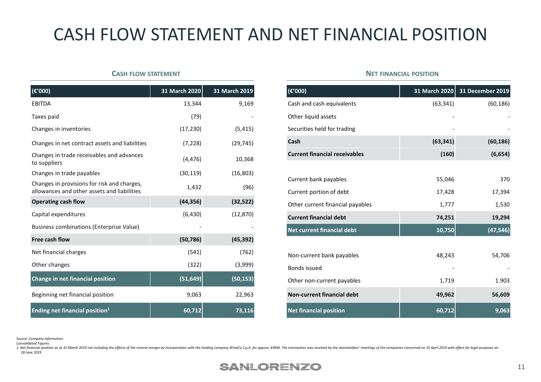## CASH FLOW STATEMENT AND NET FINANCIAL POSITION

#### **<sup>C</sup>ASH FLOW STATEMENT**

| $(\epsilon'000)$                                                                           | 31 March 2020 | 31 March 2019 |
|--------------------------------------------------------------------------------------------|---------------|---------------|
| <b>EBITDA</b>                                                                              | 13,344        | 9,169         |
| Taxes paid                                                                                 | (79)          |               |
| Changes in inventories                                                                     | (17, 230)     | (5, 415)      |
| Changes in net contract assets and liabilities                                             | (7, 228)      | (29, 745)     |
| Changes in trade receivables and advances<br>to suppliers                                  | (4, 476)      | 10,368        |
| Changes in trade payables                                                                  | (30, 119)     | (16, 803)     |
| Changes in provisions for risk and charges,<br>allowances and other assets and liabilities | 1,432         | (96)          |
| <b>Operating cash flow</b>                                                                 | (44, 356)     | (32, 522)     |
| Capital expenditures                                                                       | (6, 430)      | (12, 870)     |
| Business combinations (Enterprise Value)                                                   |               |               |
| Free cash flow                                                                             | (50, 786)     | (45, 392)     |
| Net financial charges                                                                      | (541)         | (762)         |
| Other changes                                                                              | (322)         | (3,999)       |
| Change in net financial position                                                           | (51, 649)     | (50, 153)     |
| Beginning net financial position                                                           | 9,063         | 22,963        |
| <b>Ending net financial position1</b>                                                      | 60,712        | 73,116        |

#### **<sup>N</sup>ET FINANCIAL POSITION**

| $\overline{(\epsilon'000)}$          | 31 March 2020 | <b>31 December 2019</b> |
|--------------------------------------|---------------|-------------------------|
| Cash and cash equivalents            | (63, 341)     | (60, 186)               |
| Other liquid assets                  |               |                         |
| Securities held for trading          |               |                         |
| Cash                                 | (63, 341)     | (60, 186)               |
| <b>Current financial receivables</b> | (160)         | (6, 654)                |
|                                      |               |                         |
| Current bank payables                | 55,046        | 370                     |
| Current portion of debt              | 17,428        | 17,394                  |
| Other current financial payables     | 1,777         | 1,530                   |
| <b>Current financial debt</b>        | 74,251        | 19,294                  |
| Net current financial debt           | 10,750        | (47, 546)               |
|                                      |               |                         |
| Non-current bank payables            | 48,243        | 54,706                  |
| Bonds issued                         |               |                         |
| Other non-current payables           | 1,719         | 1.903                   |
| <b>Non-current financial debt</b>    | 49,962        | 56,609                  |
| <b>Net financial position</b>        | 60,712        | 9,063                   |

*Source: Company information*

*Consolidated Figures*

1. Net financial position as at 31 March 2019 not including the effects of the reverse merger by incorporation with the holding company WindCo S.p.A. for approx. €49M. The transaction was resolved by the shareholders' meet *28 June 2019*